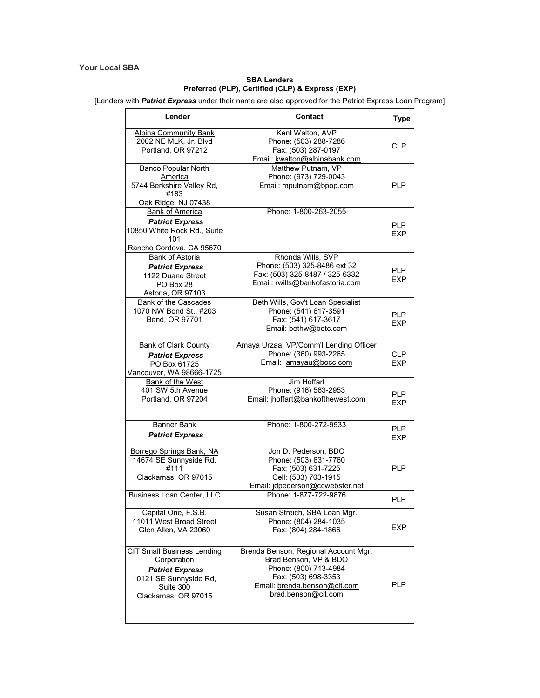## **Your Local SBA**

## **SBA Lenders Preferred (PLP), Certified (CLP) & Express (EXP)**

[Lenders with *Patriot Express* under their name are also approved for the Patriot Express Loan Program]

| Lender                                                                                                                                   | <b>Contact</b>                                                                                                                                                       | <b>Type</b>              |
|------------------------------------------------------------------------------------------------------------------------------------------|----------------------------------------------------------------------------------------------------------------------------------------------------------------------|--------------------------|
| <b>Albina Community Bank</b><br>2002 NE MLK, Jr. Blvd<br>Portland, OR 97212                                                              | Kent Walton, AVP<br>Phone: (503) 288-7286<br>Fax: (503) 287-0197<br>Email: kwalton@albinabank.com                                                                    | <b>CLP</b>               |
| <b>Banco Popular North</b><br>America<br>5744 Berkshire Valley Rd,<br>#183<br>Oak Ridge, NJ 07438                                        | Matthew Putnam, VP<br>Phone: (973) 729-0043<br>Email: mputnam@bpop.com                                                                                               | <b>PLP</b>               |
| <b>Bank of America</b><br><b>Patriot Express</b><br>10850 White Rock Rd., Suite<br>101<br>Rancho Cordova, CA 95670                       | Phone: 1-800-263-2055                                                                                                                                                | <b>PLP</b><br>EXP        |
| Bank of Astoria<br><b>Patriot Express</b><br>1122 Duane Street<br>PO Box 28<br>Astoria, OR 97103                                         | Rhonda Wills, SVP<br>Phone: (503) 325-8486 ext 32<br>Fax: (503) 325-8487 / 325-6332<br>Email: rwills@bankofastoria.com                                               | <b>PLP</b><br>EXP        |
| <b>Bank of the Cascades</b><br>1070 NW Bond St., #203<br>Bend, OR 97701                                                                  | Beth Wills, Gov't Loan Specialist<br>Phone: (541) 617-3591<br>Fax: (541) 617-3617<br>Email: bethw@botc.com                                                           | <b>PLP</b><br>EXP        |
| <b>Bank of Clark County</b><br><b>Patriot Express</b><br>PO Box 61725<br>Vancouver, WA 98666-1725                                        | Amaya Urzaa, VP/Comm'l Lending Officer<br>Phone: (360) 993-2265<br>Email: amayau@bocc.com                                                                            | <b>CLP</b><br>EXP        |
| Bank of the West<br>401 SW 5th Avenue<br>Portland, OR 97204                                                                              | Jim Hoffart<br>Phone: (916) 563-2953<br>Email: jhoffart@bankofthewest.com                                                                                            | <b>PLP</b><br>EXP        |
| <b>Banner Bank</b><br><b>Patriot Express</b>                                                                                             | Phone: 1-800-272-9933                                                                                                                                                | <b>PLP</b><br><b>EXP</b> |
| Borrego Springs Bank, NA<br>14674 SE Sunnyside Rd,<br>#111<br>Clackamas, OR 97015                                                        | Jon D. Pederson, BDO<br>Phone: (503) 631-7760<br>Fax: (503) 631-7225<br>Cell: (503) 703-1915<br>Email: jdpederson@ccwebster.net                                      | <b>PLP</b>               |
| Business Loan Center, LLC                                                                                                                | Phone: 1-877-722-9876                                                                                                                                                | <b>PLP</b>               |
| Capital One, F.S.B.<br>11011 West Broad Street<br>Glen Allen, VA 23060                                                                   | Susan Streich, SBA Loan Mgr.<br>Phone: (804) 284-1035<br>Fax: (804) 284-1866                                                                                         | <b>FXP</b>               |
| <b>CIT Small Business Lending</b><br>Corporation<br><b>Patriot Express</b><br>10121 SE Sunnyside Rd,<br>Suite 300<br>Clackamas, OR 97015 | Brenda Benson, Regional Account Mgr.<br>Brad Benson, VP & BDO<br>Phone: (800) 713-4984<br>Fax: (503) 698-3353<br>Email: brenda.benson@cit.com<br>brad.benson@cit.com | <b>PLP</b>               |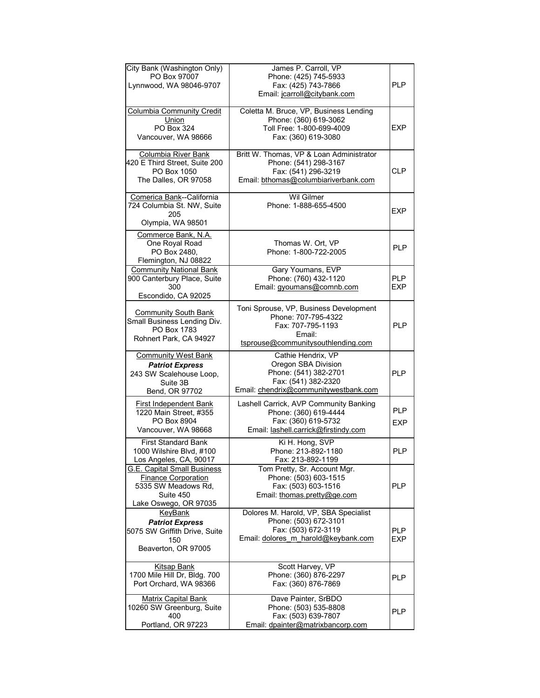| City Bank (Washington Only)<br>PO Box 97007<br>Lynnwood, WA 98046-9707                                                        | James P. Carroll, VP<br>Phone: (425) 745-5933<br>Fax: (425) 743-7866<br>Email: jcarroll@citybank.com                               | <b>PLP</b>               |
|-------------------------------------------------------------------------------------------------------------------------------|------------------------------------------------------------------------------------------------------------------------------------|--------------------------|
| <b>Columbia Community Credit</b><br>Union<br>PO Box 324<br>Vancouver, WA 98666                                                | Coletta M. Bruce, VP, Business Lending<br>Phone: (360) 619-3062<br>Toll Free: 1-800-699-4009<br>Fax: (360) 619-3080                | EXP                      |
| <b>Columbia River Bank</b><br>420 E Third Street, Suite 200<br>PO Box 1050<br>The Dalles, OR 97058                            | Britt W. Thomas, VP & Loan Administrator<br>Phone: (541) 298-3167<br>Fax: (541) 296-3219<br>Email: bthomas@columbiariverbank.com   | <b>CLP</b>               |
| Comerica Bank--California<br>724 Columbia St. NW, Suite<br>205<br>Olympia, WA 98501                                           | <b>Wil Gilmer</b><br>Phone: 1-888-655-4500                                                                                         | EXP                      |
| Commerce Bank, N.A.<br>One Royal Road<br>PO Box 2480,<br>Flemington, NJ 08822                                                 | Thomas W. Ort, VP<br>Phone: 1-800-722-2005                                                                                         | <b>PLP</b>               |
| <b>Community National Bank</b><br>900 Canterbury Place, Suite<br>300<br>Escondido, CA 92025                                   | Gary Youmans, EVP<br>Phone: (760) 432-1120<br>Email: gyoumans@comnb.com                                                            | <b>PLP</b><br>EXP        |
| <b>Community South Bank</b><br>Small Business Lending Div.<br>PO Box 1783<br>Rohnert Park, CA 94927                           | Toni Sprouse, VP, Business Development<br>Phone: 707-795-4322<br>Fax: 707-795-1193<br>Email:<br>tsprouse@communitysouthlending.com | <b>PLP</b>               |
| <b>Community West Bank</b><br><b>Patriot Express</b><br>243 SW Scalehouse Loop,<br>Suite 3B<br>Bend, OR 97702                 | Cathie Hendrix, VP<br>Oregon SBA Division<br>Phone: (541) 382-2701<br>Fax: (541) 382-2320<br>Email: chendrix@communitywestbank.com | <b>PLP</b>               |
| First Independent Bank<br>1220 Main Street, #355<br>PO Box 8904<br>Vancouver, WA 98668                                        | Lashell Carrick, AVP Community Banking<br>Phone: (360) 619-4444<br>Fax: (360) 619-5732<br>Email: lashell.carrick@firstindy.com     | <b>PLP</b><br><b>EXP</b> |
| <b>First Standard Bank</b><br>1000 Wilshire Blvd, #100<br>Los Angeles, CA, 90017                                              | Ki H. Hong, SVP<br>Phone: 213-892-1180<br>Fax: 213-892-1199                                                                        | <b>PLP</b>               |
| <b>G.E. Capital Small Business</b><br><b>Finance Corporation</b><br>5335 SW Meadows Rd,<br>Suite 450<br>Lake Oswego, OR 97035 | Tom Pretty, Sr. Account Mgr.<br>Phone: (503) 603-1515<br>Fax: (503) 603-1516<br>Email: thomas.pretty@ge.com                        | PLP                      |
| <b>KeyBank</b><br><b>Patriot Express</b><br>5075 SW Griffith Drive, Suite<br>150<br>Beaverton, OR 97005                       | Dolores M. Harold, VP, SBA Specialist<br>Phone: (503) 672-3101<br>Fax: (503) 672-3119<br>Email: dolores_m_harold@keybank.com       | <b>PLP</b><br><b>EXP</b> |
| <b>Kitsap Bank</b><br>1700 Mile Hill Dr, Bldg. 700<br>Port Orchard, WA 98366                                                  | Scott Harvey, VP<br>Phone: (360) 876-2297<br>Fax: (360) 876-7869                                                                   | <b>PLP</b>               |
| <b>Matrix Capital Bank</b><br>10260 SW Greenburg, Suite<br>400<br>Portland, OR 97223                                          | Dave Painter, SrBDO<br>Phone: (503) 535-8808<br>Fax: (503) 639-7807<br>Email: dpainter@matrixbancorp.com                           | PLP                      |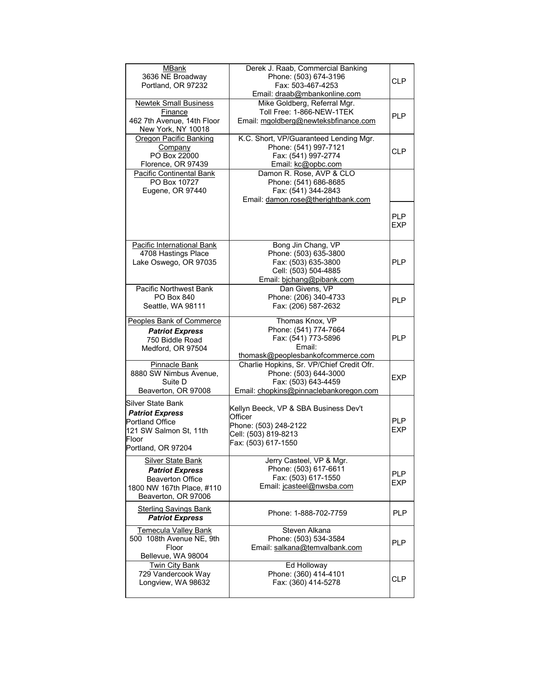| <b>MBank</b><br>3636 NE Broadway<br>Portland, OR 97232      | Derek J. Raab, Commercial Banking<br>Phone: (503) 674-3196<br>Fax: 503-467-4253 | <b>CLP</b>        |
|-------------------------------------------------------------|---------------------------------------------------------------------------------|-------------------|
|                                                             | Email: draab@mbankonline.com                                                    |                   |
| <b>Newtek Small Business</b>                                | Mike Goldberg, Referral Mgr.                                                    |                   |
| Finance<br>462 7th Avenue, 14th Floor<br>New York, NY 10018 | Toll Free: 1-866-NEW-1TEK<br>Email: mgoldberg@newteksbfinance.com               | <b>PLP</b>        |
| Oregon Pacific Banking                                      | K.C. Short, VP/Guaranteed Lending Mgr.                                          |                   |
| Company<br>PO Box 22000                                     | Phone: (541) 997-7121<br>Fax: (541) 997-2774                                    | CLP               |
| Florence, OR 97439                                          | Email: kc@opbc.com                                                              |                   |
| Pacific Continental Bank                                    | Damon R. Rose, AVP & CLO                                                        |                   |
| PO Box 10727                                                | Phone: (541) 686-8685                                                           |                   |
| Eugene, OR 97440                                            | Fax: (541) 344-2843                                                             |                   |
|                                                             | Email: damon.rose@therightbank.com                                              |                   |
|                                                             |                                                                                 | <b>PLP</b><br>EXP |
| Pacific International Bank                                  | Bong Jin Chang, VP                                                              |                   |
| 4708 Hastings Place                                         | Phone: (503) 635-3800                                                           |                   |
| Lake Oswego, OR 97035                                       | Fax: (503) 635-3800<br>Cell: (503) 504-4885                                     | <b>PLP</b>        |
|                                                             | Email: bichang@pibank.com                                                       |                   |
| <b>Pacific Northwest Bank</b>                               | Dan Givens, VP                                                                  |                   |
| PO Box 840                                                  | Phone: (206) 340-4733                                                           | <b>PLP</b>        |
| Seattle, WA 98111                                           | Fax: (206) 587-2632                                                             |                   |
| <b>Peoples Bank of Commerce</b>                             | Thomas Knox, VP                                                                 |                   |
| <b>Patriot Express</b>                                      | Phone: (541) 774-7664                                                           |                   |
| 750 Biddle Road                                             | Fax: (541) 773-5896<br>Email:                                                   | <b>PLP</b>        |
| Medford, OR 97504                                           | thomask@peoplesbankofcommerce.com                                               |                   |
| Pinnacle Bank                                               | Charlie Hopkins, Sr. VP/Chief Credit Ofr.                                       |                   |
| 8880 SW Nimbus Avenue,                                      | Phone: (503) 644-3000                                                           | <b>EXP</b>        |
| Suite D                                                     | Fax: (503) 643-4459                                                             |                   |
| Beaverton, OR 97008                                         | Email: chopkins@pinnaclebankoregon.com                                          |                   |
| Silver State Bank                                           | Kellyn Beeck, VP & SBA Business Dev't                                           |                   |
| <b>Patriot Express</b><br>Portland Office                   | Officer                                                                         | <b>PLP</b>        |
| 121 SW Salmon St, 11th                                      | Phone: (503) 248-2122                                                           | <b>EXP</b>        |
| Floor                                                       | Cell: (503) 819-8213<br>Fax: (503) 617-1550                                     |                   |
| Portland, OR 97204                                          |                                                                                 |                   |
| <b>Silver State Bank</b>                                    | Jerry Casteel, VP & Mgr.                                                        |                   |
| <b>Patriot Express</b>                                      | Phone: (503) 617-6611                                                           | <b>PLP</b>        |
| <b>Beaverton Office</b>                                     | Fax: (503) 617-1550<br>Email: jcasteel@nwsba.com                                | <b>EXP</b>        |
| 1800 NW 167th Place, #110<br>Beaverton, OR 97006            |                                                                                 |                   |
|                                                             |                                                                                 |                   |
| <b>Sterling Savings Bank</b><br><b>Patriot Express</b>      | Phone: 1-888-702-7759                                                           | <b>PLP</b>        |
| <b>Temecula Valley Bank</b>                                 | Steven Alkana                                                                   |                   |
| 500 108th Avenue NE, 9th                                    | Phone: (503) 534-3584                                                           | <b>PLP</b>        |
| Floor<br>Bellevue, WA 98004                                 | Email: salkana@temvalbank.com                                                   |                   |
| <b>Twin City Bank</b>                                       | Ed Holloway                                                                     |                   |
| 729 Vandercook Way                                          | Phone: (360) 414-4101                                                           | CLP               |
| Longview, WA 98632                                          | Fax: (360) 414-5278                                                             |                   |
|                                                             |                                                                                 |                   |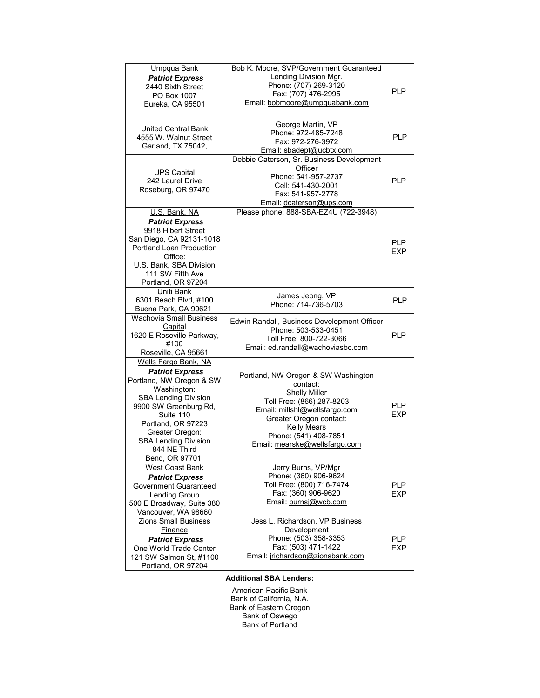| Umpqua Bank                                          | Bob K. Moore, SVP/Government Guaranteed                |                          |
|------------------------------------------------------|--------------------------------------------------------|--------------------------|
| <b>Patriot Express</b>                               | Lending Division Mgr.                                  |                          |
| 2440 Sixth Street                                    | Phone: (707) 269-3120                                  |                          |
| PO Box 1007                                          | Fax: (707) 476-2995                                    | <b>PLP</b>               |
| Eureka, CA 95501                                     | Email: bobmoore@umpquabank.com                         |                          |
|                                                      |                                                        |                          |
|                                                      | George Martin, VP                                      |                          |
| <b>United Central Bank</b>                           | Phone: 972-485-7248                                    |                          |
| 4555 W. Walnut Street                                | Fax: 972-276-3972                                      | <b>PLP</b>               |
| Garland, TX 75042,                                   | Email: sbadept@ucbtx.com                               |                          |
|                                                      | Debbie Caterson, Sr. Business Development              |                          |
| <b>UPS Capital</b>                                   | Officer                                                |                          |
| 242 Laurel Drive                                     | Phone: 541-957-2737                                    | <b>PLP</b>               |
| Roseburg, OR 97470                                   | Cell: 541-430-2001                                     |                          |
|                                                      | Fax: 541-957-2778                                      |                          |
|                                                      | Email: dcaterson@ups.com                               |                          |
| U.S. Bank, NA                                        | Please phone: 888-SBA-EZ4U (722-3948)                  |                          |
| <b>Patriot Express</b>                               |                                                        |                          |
| 9918 Hibert Street                                   |                                                        |                          |
| San Diego, CA 92131-1018<br>Portland Loan Production |                                                        | <b>PLP</b>               |
| Office:                                              |                                                        | <b>EXP</b>               |
| U.S. Bank, SBA Division                              |                                                        |                          |
| 111 SW Fifth Ave                                     |                                                        |                          |
| Portland, OR 97204                                   |                                                        |                          |
| Uniti Bank                                           |                                                        |                          |
| 6301 Beach Blvd, #100                                | James Jeong, VP<br>Phone: 714-736-5703                 | PI <sub>P</sub>          |
| Buena Park, CA 90621                                 |                                                        |                          |
| <b>Wachovia Small Business</b>                       | Edwin Randall, Business Development Officer            |                          |
| Capital                                              | Phone: 503-533-0451                                    |                          |
| 1620 E Roseville Parkway,                            | Toll Free: 800-722-3066                                | <b>PLP</b>               |
| #100                                                 | Email: ed.randall@wachoviasbc.com                      |                          |
| Roseville, CA 95661                                  |                                                        |                          |
| Wells Fargo Bank, NA                                 |                                                        |                          |
| <b>Patriot Express</b>                               | Portland, NW Oregon & SW Washington                    |                          |
| Portland, NW Oregon & SW                             | contact:                                               |                          |
| Washington:<br><b>SBA Lending Division</b>           | <b>Shelly Miller</b>                                   |                          |
| 9900 SW Greenburg Rd,                                | Toll Free: (866) 287-8203                              | <b>PLP</b>               |
| Suite 110                                            | Email: millshl@wellsfargo.com                          | <b>EXP</b>               |
| Portland, OR 97223                                   | Greater Oregon contact:                                |                          |
| Greater Oregon:                                      | <b>Kelly Mears</b>                                     |                          |
| <b>SBA Lending Division</b>                          | Phone: (541) 408-7851<br>Email: mearske@wellsfargo.com |                          |
| 844 NE Third                                         |                                                        |                          |
| Bend, OR 97701                                       |                                                        |                          |
| <b>West Coast Bank</b>                               | Jerry Burns, VP/Mgr                                    |                          |
| <b>Patriot Express</b>                               | Phone: (360) 906-9624                                  |                          |
| Government Guaranteed                                | Toll Free: (800) 716-7474                              | <b>PLP</b>               |
| Lending Group                                        | Fax: (360) 906-9620                                    | <b>EXP</b>               |
| 500 E Broadway, Suite 380                            | Email: burnsi@wcb.com                                  |                          |
| Vancouver, WA 98660                                  |                                                        |                          |
| Zions Small Business                                 | Jess L. Richardson, VP Business                        |                          |
| <b>Finance</b>                                       | Development<br>Phone: (503) 358-3353                   |                          |
| <b>Patriot Express</b>                               | Fax: (503) 471-1422                                    | <b>PLP</b><br><b>EXP</b> |
| One World Trade Center<br>121 SW Salmon St. #1100    | Email: jrichardson@zionsbank.com                       |                          |
| Portland, OR 97204                                   |                                                        |                          |
|                                                      |                                                        |                          |

## **Additional SBA Lenders:**

American Pacific Bank Bank of California, N.A. Bank of Eastern Oregon Bank of Oswego Bank of Portland